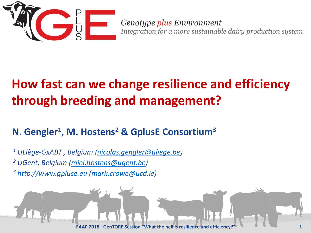

Genotype plus Environment Integration for a more sustainable dairy production system

# **How fast can we change resilience and efficiency through breeding and management?**

#### **N. Gengler<sup>1</sup> , M. Hostens<sup>2</sup> & GplusE Consortium<sup>3</sup>**

*<sup>1</sup> ULiège-GxABT , Belgium [\(nicolas.gengler@uliege.be\)](mailto:nicolas.gengler@uliege.be) <sup>2</sup> UGent, Belgium [\(miel.hostens@ugent.be](mailto:miel.hostens@ugent.be)) <sup>3</sup> [http://www.gpluse.eu](http://www.gpluse.eu/) ([mark.crowe@ucd.ie](mailto:mark.crowe@ucd.ie))*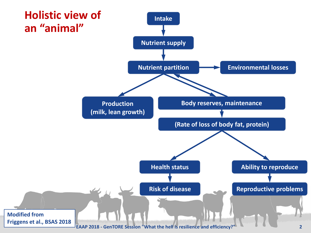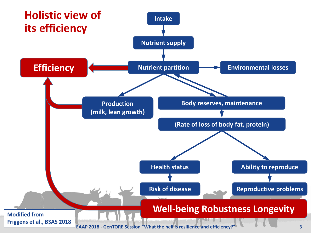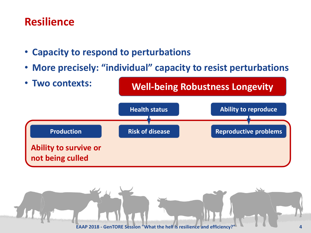#### **Resilience**

- **Capacity to respond to perturbations**
- **More precisely: "individual" capacity to resist perturbations**



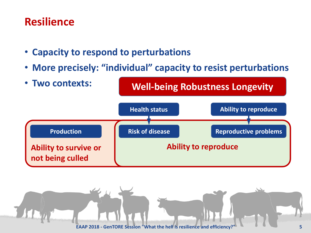#### **Resilience**

- **Capacity to respond to perturbations**
- **More precisely: "individual" capacity to resist perturbations**



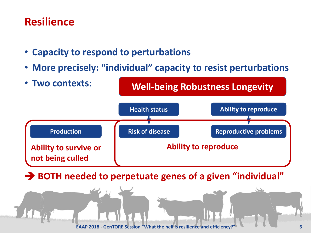#### **Resilience**

- **Capacity to respond to perturbations**
- **More precisely: "individual" capacity to resist perturbations**



➔ **BOTH needed to perpetuate genes of a given "individual"**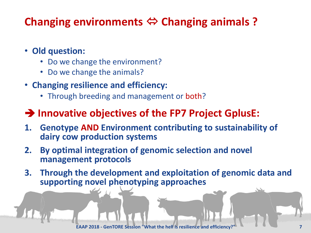## **Changing environments ⇔ Changing animals ?**

#### • **Old question:**

- Do we change the environment?
- Do we change the animals?
- **Changing resilience and efficiency:**
	- Through breeding and management or both?

#### ➔ **Innovative objectives of the FP7 Project GplusE:**

- **1. Genotype AND Environment contributing to sustainability of dairy cow production systems**
- **2. By optimal integration of genomic selection and novel management protocols**
- **3. Through the development and exploitation of genomic data and supporting novel phenotyping approaches**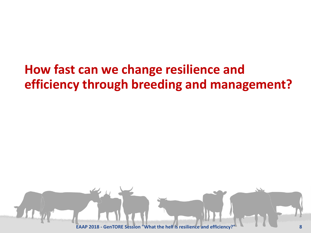# **How fast can we change resilience and efficiency through breeding and management?**

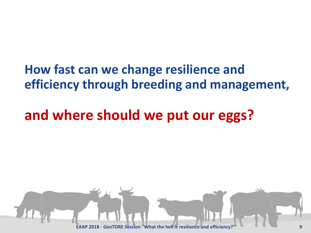# **How fast can we change resilience and efficiency through breeding and management,**

# **and where should we put our eggs?**

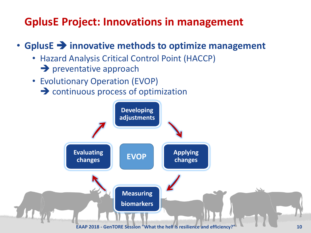## **GplusE Project: Innovations in management**

#### • **GplusE** ➔ **innovative methods to optimize management**

- Hazard Analysis Critical Control Point (HACCP) **→** preventative approach
- Evolutionary Operation (EVOP)
	- **→** continuous process of optimization

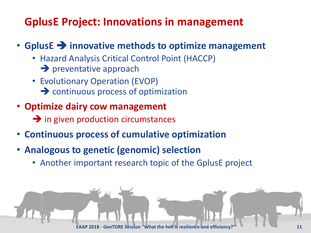## **GplusE Project: Innovations in management**

#### • **GplusE** ➔ **innovative methods to optimize management**

- Hazard Analysis Critical Control Point (HACCP) **→** preventative approach
- Evolutionary Operation (EVOP)
	- **→** continuous process of optimization
- **Optimize dairy cow management**
	- **→** in given production circumstances
- **Continuous process of cumulative optimization**
- **Analogous to genetic (genomic) selection**
	- Another important research topic of the GplusE project

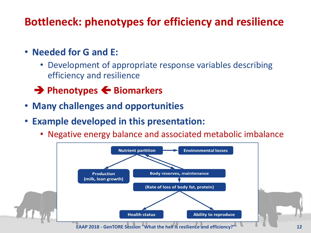## **Bottleneck: phenotypes for efficiency and resilience**

- **Needed for G and E:**
	- Development of appropriate response variables describing efficiency and resilience
	- **→ Phenotypes ← Biomarkers**
- **Many challenges and opportunities**
- **Example developed in this presentation:**
	- Negative energy balance and associated metabolic imbalance

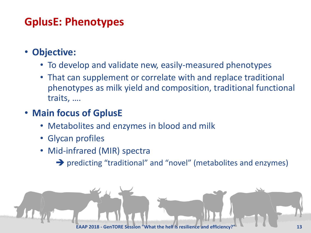## **GplusE: Phenotypes**

- **Objective:**
	- To develop and validate new, easily-measured phenotypes
	- That can supplement or correlate with and replace traditional phenotypes as milk yield and composition, traditional functional traits, ….
- **Main focus of GplusE**
	- Metabolites and enzymes in blood and milk
	- Glycan profiles
	- Mid-infrared (MIR) spectra
		- ➔ predicting "traditional" and "novel" (metabolites and enzymes)

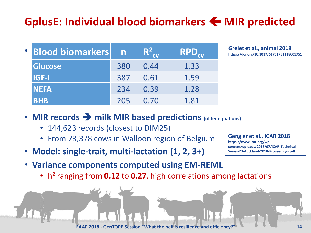## **GplusE: Individual blood biomarkers MIR predicted**

| <b>• Blood biomarkers</b> | $\mathsf{n}$ | $R^2$ | <b>RPD</b> <sub>cv</sub> |
|---------------------------|--------------|-------|--------------------------|
| <b>Glucose</b>            | 380          | 0.44  | 1.33                     |
| <b>IGF-I</b>              | 387          | 0.61  | 1.59                     |
| <b>NEFA</b>               | 234          | 0.39  | 1.28                     |
| <b>BHB</b>                | 205          | 0.70  | 1.81                     |

**Grelet et al., animal 2018 https://doi.org/10.1017/S1751731118001751**

- **MIR records** ➔ **milk MIR based predictions (older equations)** 
	- 144,623 records (closest to DIM25)
	- From 73,378 cows in Walloon region of Belgium
- **Model: single-trait, multi-lactation (1, 2, 3+)**
- **Gengler et al., ICAR 2018 https://www.icar.org/wpcontent/uploads/2018/07/ICAR-Technical-Series-23-Auckland-2018-Proceedings.pdf**
- **Variance components computed using EM-REML**
	- h 2 ranging from **0.12** to **0.27**, high correlations among lactations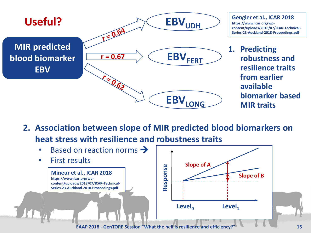

- **Gengler et al., ICAR 2018 https://www.icar.org/wpcontent/uploads/2018/07/ICAR-Technical-Series-23-Auckland-2018-Proceedings.pdf**
- **1. Predicting robustness and resilience traits from earlier available biomarker based MIR traits**
- **2. Association between slope of MIR predicted blood biomarkers on heat stress with resilience and robustness traits**

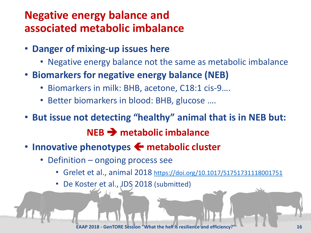### **Negative energy balance and associated metabolic imbalance**

- **Danger of mixing-up issues here**
	- Negative energy balance not the same as metabolic imbalance
- **Biomarkers for negative energy balance (NEB)**
	- Biomarkers in milk: BHB, acetone, C18:1 cis-9….
	- Better biomarkers in blood: BHB, glucose ….
- **But issue not detecting "healthy" animal that is in NEB but: NEB** ➔ **metabolic imbalance**
- **Innovative phenotypes**  $\leftarrow$  **metabolic cluster** 
	- Definition ongoing process see
		- Grelet et al., animal 2018 <https://doi.org/10.1017/S1751731118001751>
		- De Koster et al., JDS 2018 (submitted)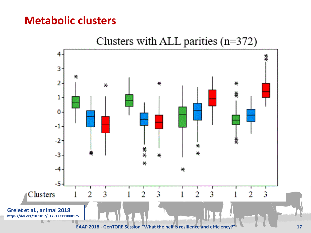#### **Metabolic clusters**

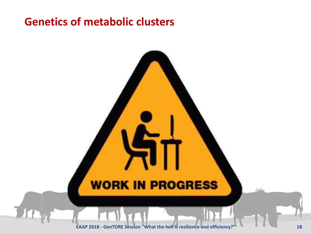#### **Genetics of metabolic clusters**

## **WORK IN PROGRESS**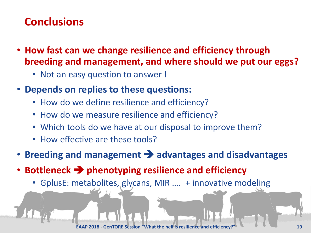## **Conclusions**

- **How fast can we change resilience and efficiency through breeding and management, and where should we put our eggs?**
	- Not an easy question to answer !
- **Depends on replies to these questions:**
	- How do we define resilience and efficiency?
	- How do we measure resilience and efficiency?
	- Which tools do we have at our disposal to improve them?
	- How effective are these tools?
- **Breeding and management** ➔ **advantages and disadvantages**
- **Bottleneck** ➔ **phenotyping resilience and efficiency**
	- GplusE: metabolites, glycans, MIR …. + innovative modeling